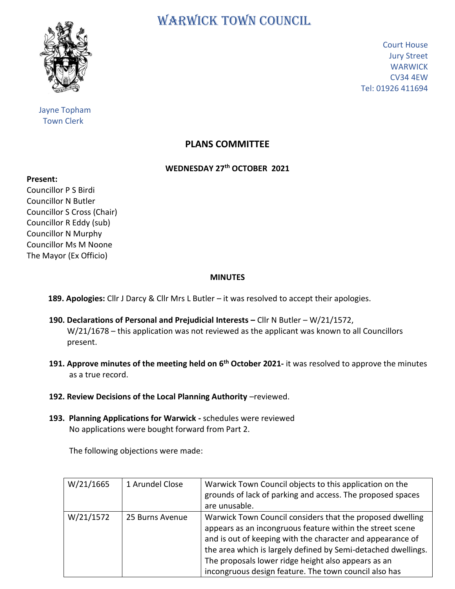

 Jayne Topham Town Clerk

WARWICK TOWN COUNCIL

Court House Jury Street **WARWICK** CV34 4EW Tel: 01926 411694

## **PLANS COMMITTEE**

## **WEDNESDAY 27th OCTOBER 2021**

**Present:**

Councillor P S Birdi Councillor N Butler Councillor S Cross (Chair) Councillor R Eddy (sub) Councillor N Murphy Councillor Ms M Noone The Mayor (Ex Officio)

## **MINUTES**

**189. Apologies:** Cllr J Darcy & Cllr Mrs L Butler – it was resolved to accept their apologies.

- **190. Declarations of Personal and Prejudicial Interests –** Cllr N Butler W/21/1572, W/21/1678 – this application was not reviewed as the applicant was known to all Councillors present.
- **191. Approve minutes of the meeting held on 6<sup>th</sup> October 2021- it was resolved to approve the minutes**  as a true record.
	- 192. Review Decisions of the Local Planning Authority -reviewed.
	- **193. Planning Applications for Warwick -** schedules were reviewed No applications were bought forward from Part 2.

The following objections were made:

| W/21/1665 | 1 Arundel Close | Warwick Town Council objects to this application on the<br>grounds of lack of parking and access. The proposed spaces<br>are unusable.                                                                                                                                                                                                                                |
|-----------|-----------------|-----------------------------------------------------------------------------------------------------------------------------------------------------------------------------------------------------------------------------------------------------------------------------------------------------------------------------------------------------------------------|
| W/21/1572 | 25 Burns Avenue | Warwick Town Council considers that the proposed dwelling<br>appears as an incongruous feature within the street scene<br>and is out of keeping with the character and appearance of<br>the area which is largely defined by Semi-detached dwellings.<br>The proposals lower ridge height also appears as an<br>incongruous design feature. The town council also has |